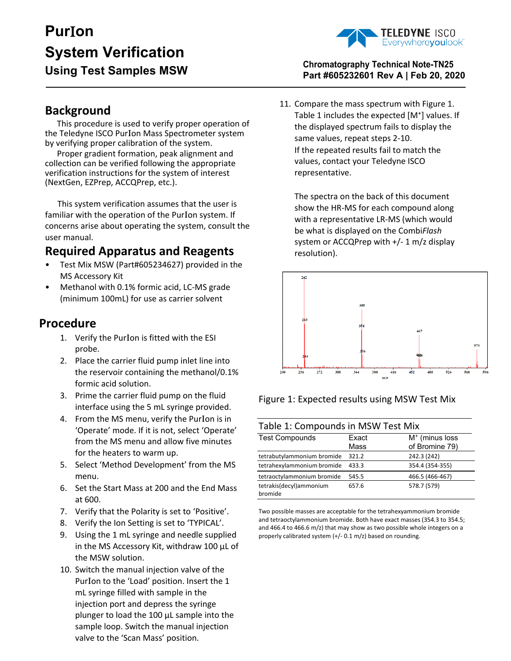# **Pur**I**on System Verification**



## **Using Test Samples MSW Chromatography Technical Note-TN25 Part #605232601 Rev A | Feb 20, 2020**

## **Background**

This procedure is used to verify proper operation of the Teledyne ISCO PurIon Mass Spectrometer system by verifying proper calibration of the system.

Proper gradient formation, peak alignment and collection can be verified following the appropriate verification instructions for the system of interest (NextGen, EZPrep, ACCQPrep, etc.).

 This system verification assumes that the user is familiar with the operation of the PurIon system. If concerns arise about operating the system, consult the user manual.

# **Required Apparatus and Reagents**

- Test Mix MSW (Part#605234627) provided in the MS Accessory Kit
- Methanol with 0.1% formic acid, LC-MS grade (minimum 100mL) for use as carrier solvent

# **Procedure**

- 1. Verify the PurIon is fitted with the ESI probe.
- 2. Place the carrier fluid pump inlet line into the reservoir containing the methanol/0.1% formic acid solution.
- 3. Prime the carrier fluid pump on the fluid interface using the 5 mL syringe provided.
- 4. From the MS menu, verify the PurIon is in 'Operate' mode. If it is not, select 'Operate' from the MS menu and allow five minutes for the heaters to warm up.
- 5. Select 'Method Development' from the MS menu.
- 6. Set the Start Mass at 200 and the End Mass at 600.
- 7. Verify that the Polarity is set to 'Positive'.
- 8. Verify the Ion Setting is set to 'TYPICAL'.
- 9. Using the 1 mL syringe and needle supplied in the MS Accessory Kit, withdraw 100 µL of the MSW solution.
- 10. Switch the manual injection valve of the PurIon to the 'Load' position. Insert the 1 mL syringe filled with sample in the injection port and depress the syringe plunger to load the 100 µL sample into the sample loop. Switch the manual injection valve to the 'Scan Mass' position.

11. Compare the mass spectrum with Figure 1. Table 1 includes the expected [M<sup>+</sup>] values. If the displayed spectrum fails to display the same values, repeat steps 2-10. If the repeated results fail to match the values, contact your Teledyne ISCO representative.

The spectra on the back of this document show the HR-MS for each compound along with a representative LR-MS (which would be what is displayed on the Combi*Flash*  system or ACCQPrep with +/- 1 m/z display resolution).



Figure 1: Expected results using MSW Test Mix

| Table 1: Compounds in MSW Test Mix |       |                  |
|------------------------------------|-------|------------------|
| <b>Test Compounds</b>              | Exact | $M+$ (minus loss |
|                                    | Mass  | of Bromine 79)   |
| tetrabutylammonium bromide         | 321.2 | 242.3 (242)      |
| tetrahexylammonium bromide         | 433.3 | 354.4 (354-355)  |
| tetraoctylammonium bromide         | 545.5 | 466.5 (466-467)  |
| tetrakis(decyl)ammonium<br>bromide | 657.6 | 578.7 (579)      |

Two possible masses are acceptable for the tetrahexyammonium bromide and tetraoctylammonium bromide. Both have exact masses (354.3 to 354.5; and 466.4 to 466.6 m/z) that may show as two possible whole integers on a properly calibrated system (+/- 0.1 m/z) based on rounding.